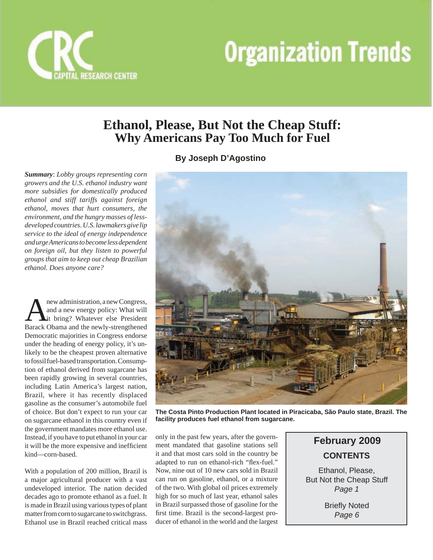



## **Ethanol, Please, But Not the Cheap Stuff: Why Americans Pay Too Much for Fuel**

## **By Joseph D'Agostino**

*Summary*: *Lobby groups representing corn growers and the U.S. ethanol industry want more subsidies for domestically produced ethanol and stiff tariffs against foreign ethanol, moves that hurt consumers, the environment, and the hungry masses of lessdeveloped countries. U.S. lawmakers give lip service to the ideal of energy independence and urge Americans to become less dependent on foreign oil, but they listen to powerful groups that aim to keep out cheap Brazilian ethanol. Does anyone care?*

**A new administration, a new Congress,<br>
and a new energy policy: What will<br>
Barack Obama and the newly strengthened** and a new energy policy: What will Barack Obama and the newly-strengthened Democratic majorities in Congress endorse under the heading of energy policy, it's unlikely to be the cheapest proven alternative to fossil fuel-based transportation. Consumption of ethanol derived from sugarcane has been rapidly growing in several countries, including Latin America's largest nation, Brazil, where it has recently displaced gasoline as the consumer's automobile fuel of choice. But don't expect to run your car on sugarcane ethanol in this country even if the government mandates more ethanol use. Instead, if you have to put ethanol in your car it will be the more expensive and inefficient kind—corn-based.

With a population of 200 million, Brazil is a major agricultural producer with a vast undeveloped interior. The nation decided decades ago to promote ethanol as a fuel. It is made in Brazil using various types of plant matter from corn to sugarcane to switchgrass. Ethanol use in Brazil reached critical mass



**The Costa Pinto Production Plant located in Piracicaba, São Paulo state, Brazil. The facility produces fuel ethanol from sugarcane.**

only in the past few years, after the government mandated that gasoline stations sell it and that most cars sold in the country be adapted to run on ethanol-rich "flex-fuel." Now, nine out of 10 new cars sold in Brazil can run on gasoline, ethanol, or a mixture of the two. With global oil prices extremely high for so much of last year, ethanol sales in Brazil surpassed those of gasoline for the first time. Brazil is the second-largest producer of ethanol in the world and the largest

**CONTENTS February 2009**

Ethanol, Please, But Not the Cheap Stuff *Page 1*

> **Briefly Noted** *Page 6*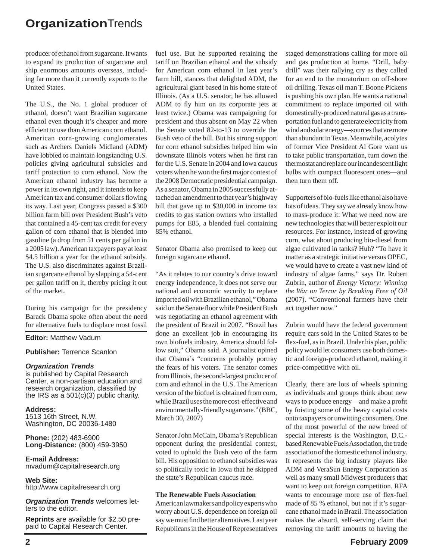producer of ethanol from sugarcane. It wants to expand its production of sugarcane and ship enormous amounts overseas, including far more than it currently exports to the United States.

The U.S., the No. 1 global producer of ethanol, doesn't want Brazilian sugarcane ethanol even though it's cheaper and more efficient to use than American corn ethanol. American corn-growing conglomerates such as Archers Daniels Midland (ADM) have lobbied to maintain longstanding U.S. policies giving agricultural subsidies and tariff protection to corn ethanol. Now the American ethanol industry has become a power in its own right, and it intends to keep American tax and consumer dollars flowing its way. Last year, Congress passed a \$300 billion farm bill over President Bush's veto that contained a 45-cent tax credit for every gallon of corn ethanol that is blended into gasoline (a drop from 51 cents per gallon in a 2005 law). American taxpayers pay at least \$4.5 billion a year for the ethanol subsidy. The U.S. also discriminates against Brazilian sugarcane ethanol by slapping a 54-cent per gallon tariff on it, thereby pricing it out of the market.

During his campaign for the presidency Barack Obama spoke often about the need for alternative fuels to displace most fossil

**Editor:** Matthew Vadum

**Publisher:** Terrence Scanlon

#### *Organization Trends*

is published by Capital Research Center, a non-partisan education and research organization, classified by the IRS as a 501(c)(3) public charity.

**Address:** 1513 16th Street, N.W. Washington, DC 20036-1480

**Phone:** (202) 483-6900 **Long-Distance:** (800) 459-3950

**E-mail Address:** mvadum@capitalresearch.org

**Web Site:** http://www.capitalresearch.org

*Organization Trends* welcomes letters to the editor.

**Reprints** are available for \$2.50 prepaid to Capital Research Center.

fuel use. But he supported retaining the tariff on Brazilian ethanol and the subsidy for American corn ethanol in last year's farm bill, stances that delighted ADM, the agricultural giant based in his home state of Illinois. (As a U.S. senator, he has allowed ADM to fly him on its corporate jets at least twice.) Obama was campaigning for president and thus absent on May 22 when the Senate voted 82-to-13 to override the Bush veto of the bill. But his strong support for corn ethanol subsidies helped him win downstate Illinois voters when he first ran for the U.S. Senate in 2004 and Iowa caucus voters when he won the first major contest of the 2008 Democratic presidential campaign. As a senator, Obama in 2005 successfully attached an amendment to that year's highway bill that gave up to \$30,000 in income tax credits to gas station owners who installed pumps for E85, a blended fuel containing 85% ethanol.

Senator Obama also promised to keep out foreign sugarcane ethanol.

"As it relates to our country's drive toward energy independence, it does not serve our national and economic security to replace imported oil with Brazilian ethanol," Obama said on the Senate floor while President Bush was negotiating an ethanol agreement with the president of Brazil in 2007. "Brazil has done an excellent job in encouraging its own biofuels industry. America should follow suit," Obama said. A journalist opined that Obama's "concerns probably portray the fears of his voters. The senator comes from Illinois, the second-largest producer of corn and ethanol in the U.S. The American version of the biofuel is obtained from corn, while Brazil uses the more cost-effective and environmentally-friendly sugarcane." (BBC, March 30, 2007)

Senator John McCain, Obama's Republican opponent during the presidential contest, voted to uphold the Bush veto of the farm bill. His opposition to ethanol subsidies was so politically toxic in Iowa that he skipped the state's Republican caucus race.

#### **The Renewable Fuels Association**

American lawmakers and policy experts who worry about U.S. dependence on foreign oil say we must find better alternatives. Last year Republicans in the House of Representatives

staged demonstrations calling for more oil and gas production at home. "Drill, baby drill" was their rallying cry as they called for an end to the moratorium on off-shore oil drilling. Texas oil man T. Boone Pickens is pushing his own plan. He wants a national commitment to replace imported oil with domestically-produced natural gas as a transportation fuel and to generate electricity from wind and solar energy—sources that are more than abundant in Texas. Meanwhile, acolytes of former Vice President Al Gore want us to take public transportation, turn down the thermostat and replace our incandescent light bulbs with compact fluorescent ones—and then turn them off.

Supporters of bio-fuels like ethanol also have lots of ideas. They say we already know how to mass-produce it: What we need now are new technologies that will better exploit our resources. For instance, instead of growing corn, what about producing bio-diesel from algae cultivated in tanks? Huh? "To have it matter as a strategic initiative versus OPEC, we would have to create a vast new kind of industry of algae farms," says Dr. Robert Zubrin, author of *Energy Victory: Winning the War on Terror by Breaking Free of Oil*  (2007). "Conventional farmers have their act together now."

Zubrin would have the federal government require cars sold in the United States to be flex-fuel, as in Brazil. Under his plan, public policy would let consumers use both domestic and foreign-produced ethanol, making it price-competitive with oil.

Clearly, there are lots of wheels spinning as individuals and groups think about new ways to produce energy—and make a profit by foisting some of the heavy capital costs onto taxpayers or unwitting consumers. One of the most powerful of the new breed of special interests is the Washington, D.C. based Renewable Fuels Association, the trade association of the domestic ethanol industry. It represents the big industry players like ADM and VeraSun Energy Corporation as well as many small Midwest producers that want to keep out foreign competition. RFA wants to encourage more use of flex-fuel made of 85 % ethanol, but not if it's sugarcane ethanol made in Brazil. The association makes the absurd, self-serving claim that removing the tariff amounts to having the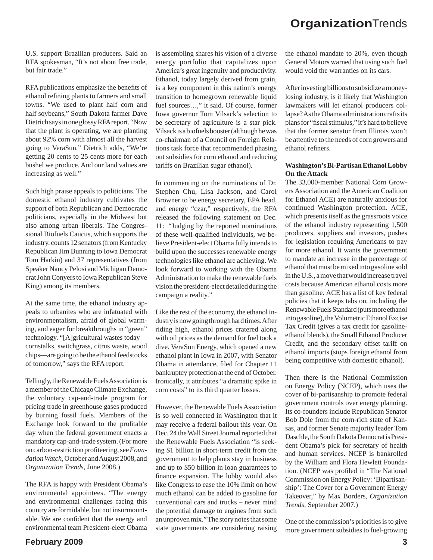U.S. support Brazilian producers. Said an RFA spokesman, "It's not about free trade, but fair trade."

RFA publications emphasize the benefits of ethanol refining plants to farmers and small towns. "We used to plant half corn and half soybeans," South Dakota farmer Dave Dietrich says in one glossy RFA report. "Now that the plant is operating, we are planting about 92% corn with almost all the harvest going to VeraSun." Dietrich adds, "We're getting 20 cents to 25 cents more for each bushel we produce. And our land values are increasing as well."

Such high praise appeals to politicians. The domestic ethanol industry cultivates the support of both Republican and Democratic politicians, especially in the Midwest but also among urban liberals. The Congressional Biofuels Caucus, which supports the industry, counts 12 senators (from Kentucky Republican Jim Bunning to Iowa Democrat Tom Harkin) and 37 representatives (from Speaker Nancy Pelosi and Michigan Democrat John Conyers to Iowa Republican Steve King) among its members.

At the same time, the ethanol industry appeals to urbanites who are infatuated with environmentalism, afraid of global warming, and eager for breakthroughs in "green" technology. "[A]gricultural wastes today cornstalks, switchgrass, citrus waste, wood chips—are going to be the ethanol feedstocks of tomorrow," says the RFA report.

Tellingly, the Renewable Fuels Association is a member of the Chicago Climate Exchange, the voluntary cap-and-trade program for pricing trade in greenhouse gases produced by burning fossil fuels. Members of the Exchange look forward to the profitable day when the federal government enacts a mandatory cap-and-trade system. (For more on carbon-restriction profi teering, see *Foundation Watch*, October and August 2008, and *Organization Trends*, June 2008.)

The RFA is happy with President Obama's environmental appointees. "The energy and environmental challenges facing this country are formidable, but not insurmountable. We are confident that the energy and environmental team President-elect Obama

is assembling shares his vision of a diverse energy portfolio that capitalizes upon America's great ingenuity and productivity. Ethanol, today largely derived from grain, is a key component in this nation's energy transition to homegrown renewable liquid fuel sources…," it said. Of course, former Iowa governor Tom Vilsack's selection to be secretary of agriculture is a star pick. Vilsack is a biofuels booster (although he was co-chairman of a Council on Foreign Relations task force that recommended phasing out subsidies for corn ethanol and reducing tariffs on Brazilian sugar ethanol).

In commenting on the nominations of Dr. Stephen Chu, Lisa Jackson, and Carol Browner to be energy secretary, EPA head, and energy "czar," respectively, the RFA released the following statement on Dec. 11: "Judging by the reported nominations of these well-qualified individuals, we believe President-elect Obama fully intends to build upon the successes renewable energy technologies like ethanol are achieving. We look forward to working with the Obama Administration to make the renewable fuels vision the president-elect detailed during the campaign a reality."

Like the rest of the economy, the ethanol industry is now going through hard times. After riding high, ethanol prices cratered along with oil prices as the demand for fuel took a dive. VeraSun Energy, which opened a new ethanol plant in Iowa in 2007, with Senator Obama in attendance, filed for Chapter 11 bankruptcy protection at the end of October. Ironically, it attributes "a dramatic spike in corn costs" to its third quarter losses.

However, the Renewable Fuels Association is so well connected in Washington that it may receive a federal bailout this year. On Dec. 24 the Wall Street Journal reported that the Renewable Fuels Association "is seeking \$1 billion in short-term credit from the government to help plants stay in business and up to \$50 billion in loan guarantees to finance expansion. The lobby would also like Congress to ease the 10% limit on how much ethanol can be added to gasoline for conventional cars and trucks – never mind the potential damage to engines from such an unproven mix." The story notes that some state governments are considering raising

the ethanol mandate to 20%, even though General Motors warned that using such fuel would void the warranties on its cars.

After investing billions to subsidize a moneylosing industry, is it likely that Washington lawmakers will let ethanol producers collapse? As the Obama administration crafts its plans for "fiscal stimulus," it's hard to believe that the former senator from Illinois won't be attentive to the needs of corn growers and ethanol refiners.

### **Washington's Bi-Partisan Ethanol Lobby On the Attack**

The 33,000-member National Corn Growers Association and the American Coalition for Ethanol ACE) are naturally anxious for continued Washington protection. ACE, which presents itself as the grassroots voice of the ethanol industry representing 1,500 producers, suppliers and investors, pushes for legislation requiring Americans to pay for more ethanol. It wants the government to mandate an increase in the percentage of ethanol that must be mixed into gasoline sold in the U.S., a move that would increase travel costs because American ethanol costs more than gasoline. ACE has a list of key federal policies that it keeps tabs on, including the Renewable Fuels Standard (puts more ethanol into gasoline), the Volumetric Ethanol Excise Tax Credit (gives a tax credit for gasolineethanol blends), the Small Ethanol Producer Credit, and the secondary offset tariff on ethanol imports (stops foreign ethanol from being competitive with domestic ethanol).

Then there is the National Commission on Energy Policy (NCEP), which uses the cover of bi-partisanship to promote federal government controls over energy planning. Its co-founders include Republican Senator Bob Dole from the corn-rich state of Kansas, and former Senate majority leader Tom Daschle, the South Dakota Democrat is President Obama's pick for secretary of health and human services. NCEP is bankrolled by the William and Flora Hewlett Foundation. (NCEP was profiled in "The National Commission on Energy Policy: 'Bipartisanship': The Cover for a Government Energy Takeover," by Max Borders, *Organization Trends*, September 2007.)

One of the commission's priorities is to give more government subsidies to fuel-growing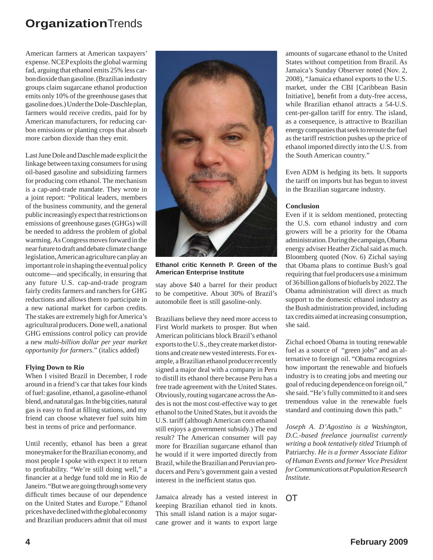American farmers at American taxpayers' expense. NCEP exploits the global warming fad, arguing that ethanol emits 25% less carbon dioxide than gasoline. (Brazilian industry groups claim sugarcane ethanol production emits only 10% of the greenhouse gases that gasoline does.) Under the Dole-Daschle plan, farmers would receive credits, paid for by American manufacturers, for reducing carbon emissions or planting crops that absorb more carbon dioxide than they emit.

Last June Dole and Daschle made explicit the linkage between taxing consumers for using oil-based gasoline and subsidizing farmers for producing corn ethanol. The mechanism is a cap-and-trade mandate. They wrote in a joint report: "Political leaders, members of the business community, and the general public increasingly expect that restrictions on emissions of greenhouse gases (GHGs) will be needed to address the problem of global warming. As Congress moves forward in the near future to draft and debate climate change legislation, American agriculture can play an important role in shaping the eventual policy outcome—and specifically, in ensuring that any future U.S. cap-and-trade program fairly credits farmers and ranchers for GHG reductions and allows them to participate in a new national market for carbon credits. The stakes are extremely high for America's agricultural producers. Done well, a national GHG emissions control policy can provide a new *multi-billion dollar per year market opportunity for farmers*." (italics added)

### **Flying Down to Rio**

When I visited Brazil in December, I rode around in a friend's car that takes four kinds of fuel: gasoline, ethanol, a gasoline-ethanol blend, and natural gas. In the big cities, natural gas is easy to find at filling stations, and my friend can choose whatever fuel suits him best in terms of price and performance.

Until recently, ethanol has been a great moneymaker for the Brazilian economy, and most people I spoke with expect it to return to profitability. "We're still doing well," a financier at a hedge fund told me in Rio de Janeiro. "But we are going through some very difficult times because of our dependence on the United States and Europe." Ethanol prices have declined with the global economy and Brazilian producers admit that oil must



**Ethanol critic Kenneth P. Green of the American Enterprise Institute**

stay above \$40 a barrel for their product to be competitive. About 30% of Brazil's automobile fleet is still gasoline-only.

Brazilians believe they need more access to First World markets to prosper. But when American politicians block Brazil's ethanol exports to the U.S., they create market distortions and create new vested interests. For example, a Brazilian ethanol producer recently signed a major deal with a company in Peru to distill its ethanol there because Peru has a free trade agreement with the United States. Obviously, routing sugarcane across the Andes is not the most cost-effective way to get ethanol to the United States, but it avoids the U.S. tariff (although American corn ethanol still enjoys a government subsidy.) The end result? The American consumer will pay more for Brazilian sugarcane ethanol than he would if it were imported directly from Brazil, while the Brazilian and Peruvian producers and Peru's government gain a vested interest in the inefficient status quo.

Jamaica already has a vested interest in keeping Brazilian ethanol tied in knots. This small island nation is a major sugarcane grower and it wants to export large amounts of sugarcane ethanol to the United States without competition from Brazil. As Jamaica's Sunday Observer noted (Nov. 2, 2008), "Jamaica ethanol exports to the U.S. market, under the CBI [Caribbean Basin Initiative], benefit from a duty-free access, while Brazilian ethanol attracts a 54-U.S. cent-per-gallon tariff for entry. The island, as a consequence, is attractive to Brazilian energy companies that seek to reroute the fuel as the tariff restriction pushes up the price of ethanol imported directly into the U.S. from the South American country."

Even ADM is hedging its bets. It supports the tariff on imports but has begun to invest in the Brazilian sugarcane industry.

### **Conclusion**

Even if it is seldom mentioned, protecting the U.S. corn ethanol industry and corn growers will be a priority for the Obama administration. During the campaign, Obama energy adviser Heather Zichal said as much. Bloomberg quoted (Nov. 6) Zichal saying that Obama plans to continue Bush's goal requiring that fuel producers use a minimum of 36 billion gallons of biofuels by 2022. The Obama administration will direct as much support to the domestic ethanol industry as the Bush administration provided, including tax credits aimed at increasing consumption, she said.

Zichal echoed Obama in touting renewable fuel as a source of "green jobs" and an alternative to foreign oil. "Obama recognizes how important the renewable and biofuels industry is to creating jobs and meeting our goal of reducing dependence on foreign oil," she said. "He's fully committed to it and sees tremendous value in the renewable fuels standard and continuing down this path."

*Joseph A. D'Agostino is a Washington, D.C.-based freelance journalist currently writing a book tentatively titled* Triumph of Patriarchy*. He is a former Associate Editor of Human Events and former Vice President for Communications at Population Research Institute.*

*OT*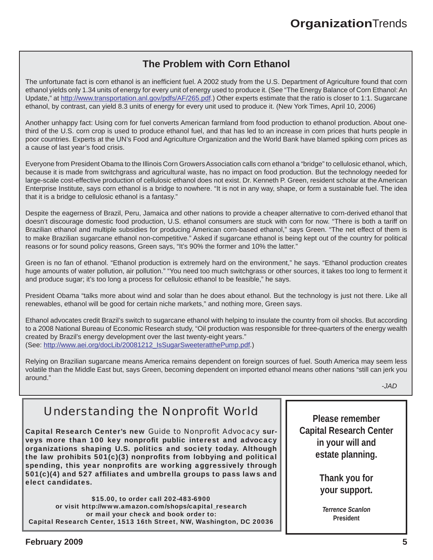## **The Problem with Corn Ethanol**

The unfortunate fact is corn ethanol is an inefficient fuel. A 2002 study from the U.S. Department of Agriculture found that corn ethanol yields only 1.34 units of energy for every unit of energy used to produce it. (See "The Energy Balance of Corn Ethanol: An Update," at http://www.transportation.anl.gov/pdfs/AF/265.pdf.) Other experts estimate that the ratio is closer to 1:1. Sugarcane ethanol, by contrast, can yield 8.3 units of energy for every unit used to produce it. (New York Times, April 10, 2006)

Another unhappy fact: Using corn for fuel converts American farmland from food production to ethanol production. About onethird of the U.S. corn crop is used to produce ethanol fuel, and that has led to an increase in corn prices that hurts people in poor countries. Experts at the UN's Food and Agriculture Organization and the World Bank have blamed spiking corn prices as a cause of last year's food crisis.

Everyone from President Obama to the Illinois Corn Growers Association calls corn ethanol a "bridge" to cellulosic ethanol, which, because it is made from switchgrass and agricultural waste, has no impact on food production. But the technology needed for large-scale cost-effective production of cellulosic ethanol does not exist. Dr. Kenneth P. Green, resident scholar at the American Enterprise Institute, says corn ethanol is a bridge to nowhere. "It is not in any way, shape, or form a sustainable fuel. The idea that it is a bridge to cellulosic ethanol is a fantasy."

Despite the eagerness of Brazil, Peru, Jamaica and other nations to provide a cheaper alternative to corn-derived ethanol that doesn't discourage domestic food production, U.S. ethanol consumers are stuck with corn for now. "There is both a tariff on Brazilian ethanol and multiple subsidies for producing American corn-based ethanol," says Green. "The net effect of them is to make Brazilian sugarcane ethanol non-competitive." Asked if sugarcane ethanol is being kept out of the country for political reasons or for sound policy reasons, Green says, "It's 90% the former and 10% the latter."

Green is no fan of ethanol. "Ethanol production is extremely hard on the environment," he says. "Ethanol production creates huge amounts of water pollution, air pollution." "You need too much switchgrass or other sources, it takes too long to ferment it and produce sugar; it's too long a process for cellulosic ethanol to be feasible," he says.

President Obama "talks more about wind and solar than he does about ethanol. But the technology is just not there. Like all renewables, ethanol will be good for certain niche markets," and nothing more, Green says.

Ethanol advocates credit Brazil's switch to sugarcane ethanol with helping to insulate the country from oil shocks. But according to a 2008 National Bureau of Economic Research study, "Oil production was responsible for three-quarters of the energy wealth created by Brazil's energy development over the last twenty-eight years." (See: http://www.aei.org/docLib/20081212\_IsSugarSweeteratthePump.pdf.)

Relying on Brazilian sugarcane means America remains dependent on foreign sources of fuel. South America may seem less volatile than the Middle East but, says Green, becoming dependent on imported ethanol means other nations "still can jerk you around."

*-JAD*

# *Understanding the Nonprofit World*

Capital Research Center's new *Guide to Nonprofi t Advocacy* surveys more than 100 key nonprofit public interest and advocacy organizations shaping U.S. politics and society today. Although the law prohibits  $501(c)(3)$  nonprofits from lobbying and political spending, this year nonprofits are working aggressively through  $501(c)(4)$  and  $527$  affiliates and umbrella groups to pass laws and elect candidates.

\$15.00, to order call 202-483-6900 or visit http://www.amazon.com/shops/capital\_research or mail your check and book order to: Capital Research Center, 1513 16th Street, NW, Washington, DC 20036

**Please remember Capital Research Center in your will and estate planning.** 

> **Thank you for your support.**

*Terrence Scanlon* **President**